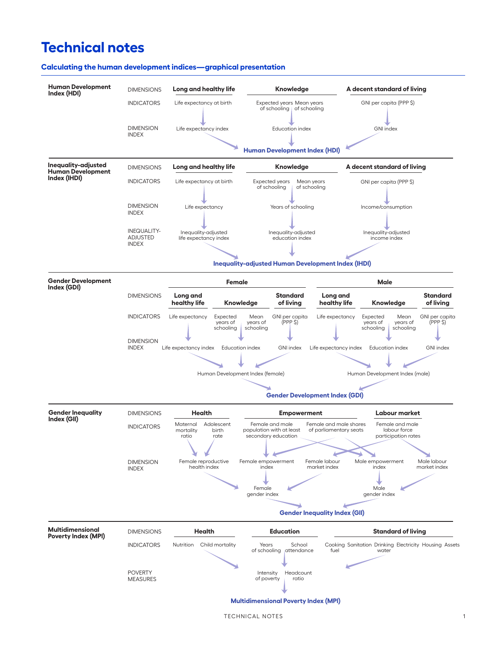# **Technical notes**



#### **Calculating the human development indices—graphical presentation**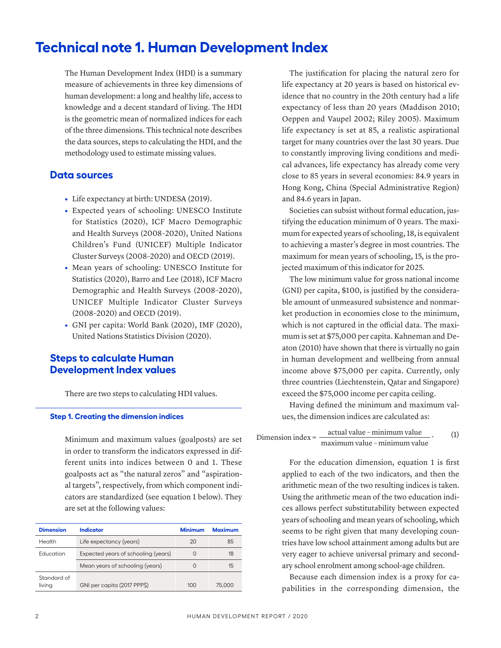# **Technical note 1. Human Development Index**

The Human Development Index (HDI) is a summary measure of achievements in three key dimensions of human development: a long and healthy life, access to knowledge and a decent standard of living. The HDI is the geometric mean of normalized indices for each of the three dimensions. This technical note describes the data sources, steps to calculating the HDI, and the methodology used to estimate missing values.

## **Data sources**

- **•** Life expectancy at birth: UNDESA (2019).
- **•** Expected years of schooling: UNESCO Institute for Statistics (2020), ICF Macro Demographic and Health Surveys (2008–2020), United Nations Children's Fund (UNICEF) Multiple Indicator Cluster Surveys (2008–2020) and OECD (2019).
- **•** Mean years of schooling: UNESCO Institute for Statistics (2020), Barro and Lee (2018), ICF Macro Demographic and Health Surveys (2008–2020), UNICEF Multiple Indicator Cluster Surveys (2008–2020) and OECD (2019).
- **•** GNI per capita: World Bank (2020), IMF (2020), United Nations Statistics Division (2020).

# **Steps to calculate Human Development Index values**

There are two steps to calculating HDI values.

#### **Step 1. Creating the dimension indices**

Minimum and maximum values (goalposts) are set in order to transform the indicators expressed in different units into indices between 0 and 1. These goalposts act as "the natural zeros" and "aspirational targets", respectively, from which component indicators are standardized (see equation 1 below). They are set at the following values:

| <b>Dimension</b>      | Indicator                           | <b>Minimum</b> | <b>Maximum</b> |
|-----------------------|-------------------------------------|----------------|----------------|
| Health                | Life expectancy (years)             | 20             | 85             |
| <b>Education</b>      | Expected years of schooling (years) |                | 18             |
|                       | Mean years of schooling (years)     |                | 15             |
| Standard of<br>living | GNI per capita (2017 PPPS)          | 100            | 75,000         |

The justification for placing the natural zero for life expectancy at 20 years is based on historical evidence that no country in the 20th century had a life expectancy of less than 20 years (Maddison 2010; Oeppen and Vaupel 2002; Riley 2005). Maximum life expectancy is set at 85, a realistic aspirational target for many countries over the last 30 years. Due to constantly improving living conditions and medical advances, life expectancy has already come very close to 85 years in several economies: 84.9 years in Hong Kong, China (Special Administrative Region) and 84.6 years in Japan.

Societies can subsist without formal education, justifying the education minimum of 0 years. The maximum for expected years of schooling, 18, is equivalent to achieving a master's degree in most countries. The maximum for mean years of schooling, 15, is the projected maximum of this indicator for 2025.

The low minimum value for gross national income (GNI) per capita, \$100, is justified by the considerable amount of unmeasured subsistence and nonmarket production in economies close to the minimum, which is not captured in the official data. The maximum is set at \$75,000 per capita. Kahneman and Deaton (2010) have shown that there is virtually no gain in human development and wellbeing from annual income above \$75,000 per capita. Currently, only three countries (Liechtenstein, Qatar and Singapore) exceed the \$75,000 income per capita ceiling.

Having defined the minimum and maximum values, the dimension indices are calculated as:

Dimension index  $=$   $\frac{\text{actual value} - \text{minimum value}}{\text{mean} + \text{mean} + \text{mean}}$ maximum value – minimum value . (1)

> For the education dimension, equation 1 is first applied to each of the two indicators, and then the arithmetic mean of the two resulting indices is taken. Using the arithmetic mean of the two education indices allows perfect substitutability between expected years of schooling and mean years of schooling, which seems to be right given that many developing countries have low school attainment among adults but are very eager to achieve universal primary and secondary school enrolment among school-age children.

> Because each dimension index is a proxy for capabilities in the corresponding dimension, the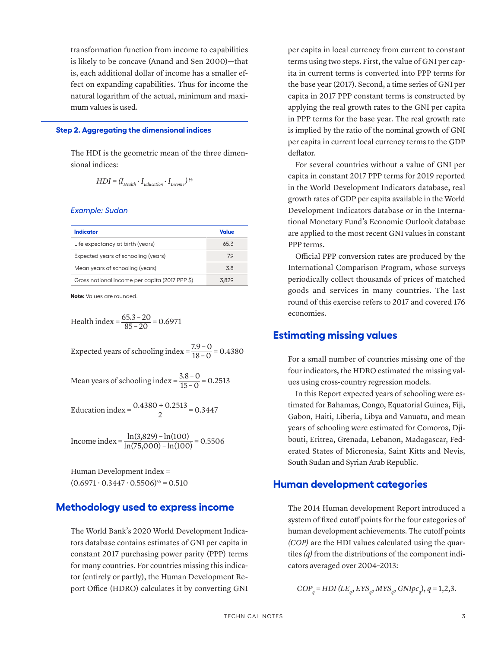transformation function from income to capabilities is likely to be concave (Anand and Sen 2000)—that is, each additional dollar of income has a smaller effect on expanding capabilities. Thus for income the natural logarithm of the actual, minimum and maximum values is used.

#### **Step 2. Aggregating the dimensional indices**

The HDI is the geometric mean of the three dimensional indices:

$$
HDI = (I_{Health} \cdot I_{Education} \cdot I_{Income})^{1/3}
$$

*Example: Sudan*

| Indicator                                      | Value |
|------------------------------------------------|-------|
| Life expectancy at birth (years)               | 653   |
| Expected years of schooling (years)            | 79    |
| Mean years of schooling (years)                | 38    |
| Gross national income per capita (2017 PPP \$) | 3829  |

**Note:** Values are rounded.

Health index = 
$$
\frac{65.3 - 20}{85 - 20} = 0.6971
$$

Expected years of schooling index =  $\frac{7.9 - 0}{18 - 0}$  = 0.4380

Mean years of schooling index =  $\frac{3.8 - 0}{15 - 0}$  = 0.2513

Education index =  $\frac{0.4380 + 0.2513}{2}$  = 0.3447

Income index =  $\frac{\ln(3,829) - \ln(100)}{\ln(75,000) - \ln(100)}$  = 0.5506

Human Development Index =  $(0.6971 \cdot 0.3447 \cdot 0.5506)^{1/3} = 0.510$ 

## **Methodology used to express income**

The World Bank's 2020 World Development Indicators database contains estimates of GNI per capita in constant 2017 purchasing power parity (PPP) terms for many countries. For countries missing this indicator (entirely or partly), the Human Development Report Office (HDRO) calculates it by converting GNI per capita in local currency from current to constant terms using two steps. First, the value of GNI per capita in current terms is converted into PPP terms for the base year (2017). Second, a time series of GNI per capita in 2017 PPP constant terms is constructed by applying the real growth rates to the GNI per capita in PPP terms for the base year. The real growth rate is implied by the ratio of the nominal growth of GNI per capita in current local currency terms to the GDP deflator.

For several countries without a value of GNI per capita in constant 2017 PPP terms for 2019 reported in the World Development Indicators database, real growth rates of GDP per capita available in the World Development Indicators database or in the International Monetary Fund's Economic Outlook database are applied to the most recent GNI values in constant PPP terms.

Official PPP conversion rates are produced by the International Comparison Program, whose surveys periodically collect thousands of prices of matched goods and services in many countries. The last round of this exercise refers to 2017 and covered 176 economies.

### **Estimating missing values**

For a small number of countries missing one of the four indicators, the HDRO estimated the missing values using cross-country regression models.

In this Report expected years of schooling were estimated for Bahamas, Congo, Equatorial Guinea, Fiji, Gabon, Haiti, Liberia, Libya and Vanuatu, and mean years of schooling were estimated for Comoros, Djibouti, Eritrea, Grenada, Lebanon, Madagascar, Federated States of Micronesia, Saint Kitts and Nevis, South Sudan and Syrian Arab Republic.

### **Human development categories**

The 2014 Human development Report introduced a system of fixed cutoff points for the four categories of human development achievements. The cutoff points *(COP)* are the HDI values calculated using the quartiles *(q)* from the distributions of the component indicators averaged over 2004–2013:

 $COP_q = HDI$  ( $LE_q$ ,  $EYS_q$ ,  $MYS_q$ ,  $GNlpc_q$ ),  $q = 1,2,3$ .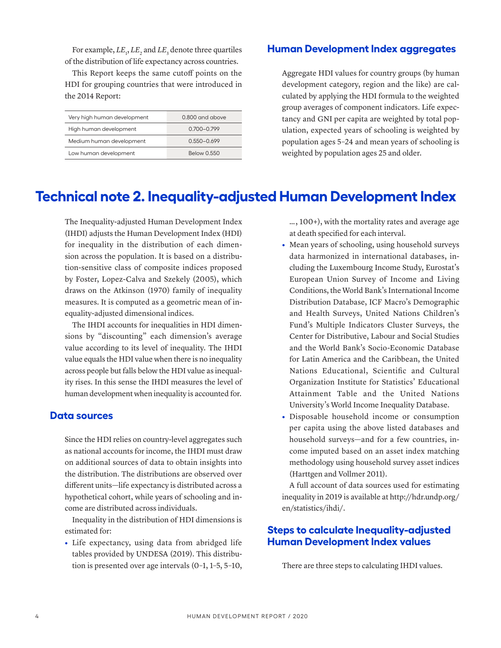For example,  $LE_1$ ,  $LE_2$  and  $LE_3$  denote three quartiles of the distribution of life expectancy across countries.

This Report keeps the same cutoff points on the HDI for grouping countries that were introduced in the 2014 Report:

| Very high human development | $0.800$ and above |
|-----------------------------|-------------------|
| High human development      | 0.700-0.799       |
| Medium human development    | $0.550 - 0.699$   |
| Low human development       | Below 0.550       |

## **Human Development Index aggregates**

Aggregate HDI values for country groups (by human development category, region and the like) are calculated by applying the HDI formula to the weighted group averages of component indicators. Life expectancy and GNI per capita are weighted by total population, expected years of schooling is weighted by population ages 5–24 and mean years of schooling is weighted by population ages 25 and older.

# **Technical note 2. Inequality-adjusted Human Development Index**

The Inequality-adjusted Human Development Index (IHDI) adjusts the Human Development Index (HDI) for inequality in the distribution of each dimension across the population. It is based on a distribution-sensitive class of composite indices proposed by Foster, Lopez-Calva and Szekely (2005), which draws on the Atkinson (1970) family of inequality measures. It is computed as a geometric mean of inequality-adjusted dimensional indices.

The IHDI accounts for inequalities in HDI dimensions by "discounting" each dimension's average value according to its level of inequality. The IHDI value equals the HDI value when there is no inequality across people but falls below the HDI value as inequality rises. In this sense the IHDI measures the level of human development when inequality is accounted for.

## **Data sources**

Since the HDI relies on country-level aggregates such as national accounts for income, the IHDI must draw on additional sources of data to obtain insights into the distribution. The distributions are observed over different units—life expectancy is distributed across a hypothetical cohort, while years of schooling and income are distributed across individuals.

Inequality in the distribution of HDI dimensions is estimated for:

**•** Life expectancy, using data from abridged life tables provided by UNDESA (2019). This distribution is presented over age intervals (0–1, 1–5, 5–10, … , 100+), with the mortality rates and average age at death specified for each interval.

- **•** Mean years of schooling, using household surveys data harmonized in international databases, including the Luxembourg Income Study, Eurostat's European Union Survey of Income and Living Conditions, the World Bank's International Income Distribution Database, ICF Macro's Demographic and Health Surveys, United Nations Children's Fund's Multiple Indicators Cluster Surveys, the Center for Distributive, Labour and Social Studies and the World Bank's Socio-Economic Database for Latin America and the Caribbean, the United Nations Educational, Scientific and Cultural Organization Institute for Statistics' Educational Attainment Table and the United Nations University's World Income Inequality Database.
- **•** Disposable household income or consumption per capita using the above listed databases and household surveys—and for a few countries, income imputed based on an asset index matching methodology using household survey asset indices (Harttgen and Vollmer 2011).

A full account of data sources used for estimating inequality in 2019 is available at [http://hdr.undp.org/](http://hdr.undp.org/en/statistics/ihdi/) [en/statistics/ihdi/.](http://hdr.undp.org/en/statistics/ihdi/)

# **Steps to calculate Inequality-adjusted Human Development Index values**

There are three steps to calculating IHDI values.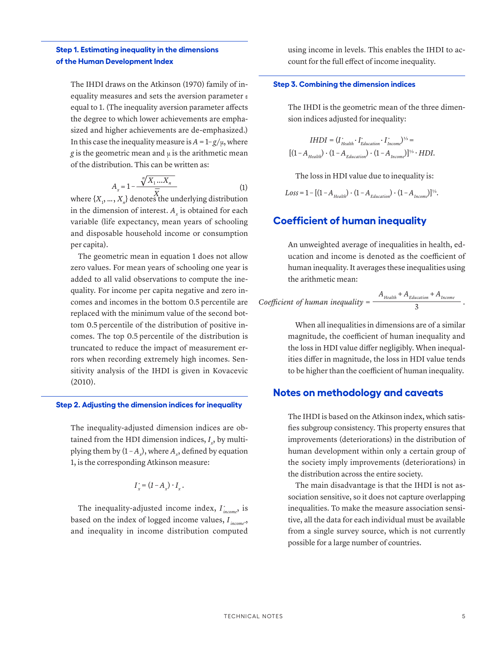### **Step 1. Estimating inequality in the dimensions of the Human Development Index**

The IHDI draws on the Atkinson (1970) family of inequality measures and sets the aversion parameter ε equal to 1. (The inequality aversion parameter affects the degree to which lower achievements are emphasized and higher achievements are de-emphasized.) In this case the inequality measure is  $A = 1-g/\mu$ , where *g* is the geometric mean and  $\mu$  is the arithmetic mean of the distribution. This can be written as:

$$
A_x = 1 - \frac{\sqrt[n]{X_1 \dots X_n}}{\overline{x}}
$$
 (1)

where  $\{X_1, ..., X_n\}$  denotes the underlying distribution in the dimension of interest.  $A_x$  is obtained for each variable (life expectancy, mean years of schooling and disposable household income or consumption per capita).

The geometric mean in equation 1 does not allow zero values. For mean years of schooling one year is added to all valid observations to compute the inequality. For income per capita negative and zero incomes and incomes in the bottom 0.5 percentile are replaced with the minimum value of the second bottom 0.5 percentile of the distribution of positive incomes. The top 0.5 percentile of the distribution is truncated to reduce the impact of measurement errors when recording extremely high incomes. Sensitivity analysis of the IHDI is given in Kovacevic (2010).

#### **Step 2. Adjusting the dimension indices for inequality**

The inequality-adjusted dimension indices are obtained from the HDI dimension indices,  $I_x$ , by multiplying them by  $(1 - A_x)$ , where  $A_x$ , defined by equation 1, is the corresponding Atkinson measure:

$$
I_x^* = (1 - A_x) \cdot I_x.
$$

The inequality-adjusted income index, *I \* income*, is based on the index of logged income values, *I*<sub>income</sub><sup>\*</sup>, and inequality in income distribution computed

using income in levels. This enables the IHDI to account for the full effect of income inequality.

#### **Step 3. Combining the dimension indices**

The IHDI is the geometric mean of the three dimension indices adjusted for inequality:

$$
IHDI = (I_{Health}^{*} \cdot I_{Education}^{*} \cdot I_{Income}^{*})^{\frac{1}{2}} =
$$
  
 
$$
[(1 - A_{Health}) \cdot (1 - A_{Education}) \cdot (1 - A_{Income})]^{\frac{1}{2}} \cdot HDI.
$$

The loss in HDI value due to inequality is:

 $Loss = 1 - [(1 - A_{Health}) \cdot (1 - A_{Education}) \cdot (1 - A_{Incomp})]^{1/3}.$ 

## **Coefficient of human inequality**

An unweighted average of inequalities in health, education and income is denoted as the coefficient of human inequality. It averages these inequalities using the arithmetic mean:

$$
Coefficient of human inequality = \frac{A_{Health} + A_{Education} + A_{Income}}{3}.
$$

When all inequalities in dimensions are of a similar magnitude, the coefficient of human inequality and the loss in HDI value differ negligibly. When inequalities differ in magnitude, the loss in HDI value tends to be higher than the coefficient of human inequality.

#### **Notes on methodology and caveats**

The IHDI is based on the Atkinson index, which satisfies subgroup consistency. This property ensures that improvements (deteriorations) in the distribution of human development within only a certain group of the society imply improvements (deteriorations) in the distribution across the entire society.

The main disadvantage is that the IHDI is not association sensitive, so it does not capture overlapping inequalities. To make the measure association sensitive, all the data for each individual must be available from a single survey source, which is not currently possible for a large number of countries.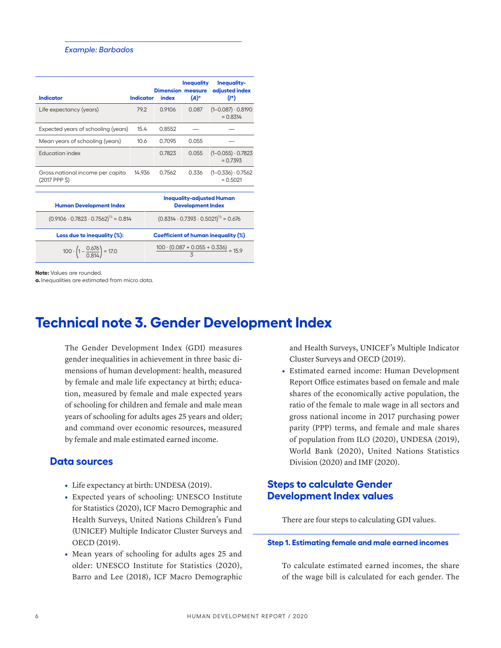#### *Example: Barbados*

| <b>Indicator</b>                                  | <b>Indicator</b> | <b>Dimension measure</b><br>index | <b>Inequality</b><br>$(A)^\circ$ | <b>Inequality-</b><br>adjusted index<br>$(I^*)$ |
|---------------------------------------------------|------------------|-----------------------------------|----------------------------------|-------------------------------------------------|
| Life expectancy (years)                           | 79.2             | 0.9106                            | 0.087                            | $(1 - 0.087) \cdot 0.8190$<br>$= 0.8314$        |
| Expected years of schooling (years)               | 15.4             | 0.8552                            |                                  |                                                 |
| Mean years of schooling (years)                   | 10.6             | 0.7095                            | 0.055                            |                                                 |
| Education index                                   |                  | 0.7823                            | 0.055                            | $(1 - 0.055) \cdot 0.7823$<br>$= 0.7393$        |
| Gross national income per capita<br>(2017 PPP \$) | 14.936           | 0.7562                            | 0.336                            | $(1 - 0.336) \cdot 0.7562$<br>$= 0.5021$        |
|                                                   |                  |                                   |                                  |                                                 |

| <b>Human Development Index</b>                     | <b>Inequality-adjusted Human</b><br><b>Development Index</b> |
|----------------------------------------------------|--------------------------------------------------------------|
| $(0.9106 \cdot 0.7823 \cdot 0.7562)^{1/3} = 0.814$ | $(0.8314 \cdot 0.7393 \cdot 0.5021)^{1/3} = 0.676$           |
|                                                    |                                                              |
| Loss due to inequality (%):                        | <b>Coefficient of human inequality (%)</b>                   |

**Note:** Values are rounded.

**a.**Inequalities are estimated from micro data.

# **Technical note 3. Gender Development Index**

The Gender Development Index (GDI) measures gender inequalities in achievement in three basic dimensions of human development: health, measured by female and male life expectancy at birth; education, measured by female and male expected years of schooling for children and female and male mean years of schooling for adults ages 25 years and older; and command over economic resources, measured by female and male estimated earned income.

## **Data sources**

- **•** Life expectancy at birth: UNDESA (2019).
- **•** Expected years of schooling: UNESCO Institute for Statistics (2020), ICF Macro Demographic and Health Surveys, United Nations Children's Fund (UNICEF) Multiple Indicator Cluster Surveys and OECD (2019).
- **•** Mean years of schooling for adults ages 25 and older: UNESCO Institute for Statistics (2020), Barro and Lee (2018), ICF Macro Demographic

and Health Surveys, UNICEF's Multiple Indicator Cluster Surveys and OECD (2019).

**•** Estimated earned income: Human Development Report Office estimates based on female and male shares of the economically active population, the ratio of the female to male wage in all sectors and gross national income in 2017 purchasing power parity (PPP) terms, and female and male shares of population from ILO (2020), UNDESA (2019), World Bank (2020), United Nations Statistics Division (2020) and IMF (2020).

# **Steps to calculate Gender Development Index values**

There are four steps to calculating GDI values.

#### **Step 1. Estimating female and male earned incomes**

To calculate estimated earned incomes, the share of the wage bill is calculated for each gender. The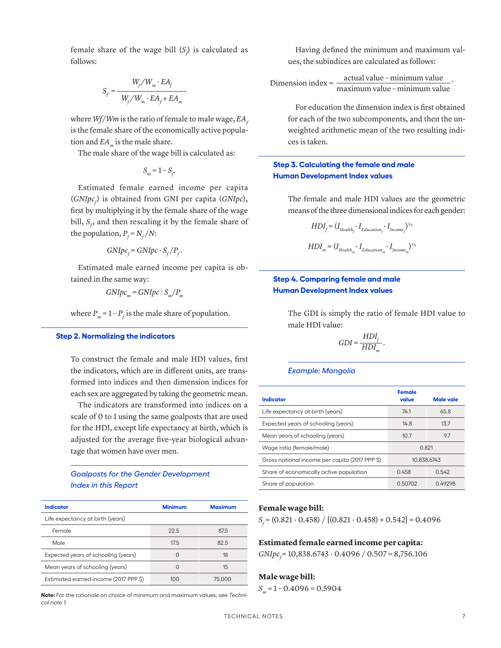female share of the wage bill  $(S_f)$  is calculated as follows:

$$
S_f = \frac{W_f/W_m \cdot EA_f}{W_f/W_m \cdot EA_f + EA_m}
$$

where  $Wf/Wm$  is the ratio of female to male wage,  $EA_f$ is the female share of the economically active population and *EA*<sub>m</sub> is the male share.

The male share of the wage bill is calculated as:

 $S_m = 1 - S_f$ 

Estimated female earned income per capita  $(GNIpc<sub>f</sub>)$  is obtained from GNI per capita  $(GNIpc)$ , first by multiplying it by the female share of the wage bill,  $S_f$ , and then rescaling it by the female share of the population,  $P_f = N_f/N$ :

$$
GNIpc_f = GNIpc \cdot S_f/P_f.
$$

Estimated male earned income per capita is obtained in the same way:

$$
GNIpc_{m} = GNIpc \cdot S_{m}/P_{m}
$$

where  $P_m = 1 - P_f$  is the male share of population.

#### **Step 2. Normalizing the indicators**

To construct the female and male HDI values, first the indicators, which are in different units, are transformed into indices and then dimension indices for each sex are aggregated by taking the geometric mean.

The indicators are transformed into indices on a scale of 0 to 1 using the same goalposts that are used for the HDI, except life expectancy at birth, which is adjusted for the average five-year biological advantage that women have over men.

#### *Goalposts for the Gender Development Index in this Report*

| <b>Indicator</b>                      | <b>Minimum</b> | <b>Maximum</b> |  |
|---------------------------------------|----------------|----------------|--|
| Life expectancy at birth (years)      |                |                |  |
| Female                                | 22.5           | 87.5           |  |
| Male                                  | 17.5           | 82.5           |  |
| Expected years of schooling (years)   | $\bigcap$      | 18             |  |
| Mean years of schooling (years)       | $\Omega$       | 15             |  |
| Estimated earned income (2017 PPP \$) | 100            | 75,000         |  |

**Note:** For the rationale on choice of minimum and maximum values, see *Technical note 1.*

Having defined the minimum and maximum values, the subindices are calculated as follows:

Dimension index =  $\frac{\text{actual value} - \text{minimum value}}{\text{mean}}$ . maximum value – minimum value

For education the dimension index is first obtained for each of the two subcomponents, and then the unweighted arithmetic mean of the two resulting indices is taken.

### **Step 3. Calculating the female and male Human Development Index values**

The female and male HDI values are the geometric means of the three dimensional indices for each gender:

$$
\begin{split} HDI_{f} = (I_{Health_{f}} \cdot I_{Education_{f}} \cdot I_{Income_{f}})^{\gamma_{5}} \\ HDI_{m} = (I_{Health_{m}} \cdot I_{Education_{m}} \cdot I_{Income_{m}})^{\gamma_{5}} \end{split}
$$

## **Step 4. Comparing female and male Human Development Index values**

The GDI is simply the ratio of female HDI value to male HDI value:

$$
GDI = \frac{HDI_f}{HDI_m}.
$$

#### *Example: Mongolia*

| <b>Indicator</b>                               | <b>Female</b><br>value | <b>Male vale</b> |  |
|------------------------------------------------|------------------------|------------------|--|
| Life expectancy at birth (years)               | 74.1                   | 65.8             |  |
| Expected years of schooling (years)            | 14.8                   | 13.7             |  |
| Mean years of schooling (years)                | 10.7                   | 9.7              |  |
| Wage ratio (female/male)                       | O 821                  |                  |  |
| Gross national income per capita (2017 PPP \$) | 10.838.6743            |                  |  |
| Share of economically active population        | 0.542<br>0.458         |                  |  |
| Share of population                            | 0.50702                | 049298           |  |

#### **Female wage bill:**

*S*<sub>f</sub> = (0.821 ⋅ 0.458) / [(0.821 ⋅ 0.458) + 0.542] = 0.4096

### **Estimated female earned income per capita:**

*GNIpc<sub>f</sub>* = 10,838.6743 ⋅ 0.4096 / 0.507 = 8,756.106

#### **Male wage bill:**

 $S_m = 1 - 0.4096 = 0.5904$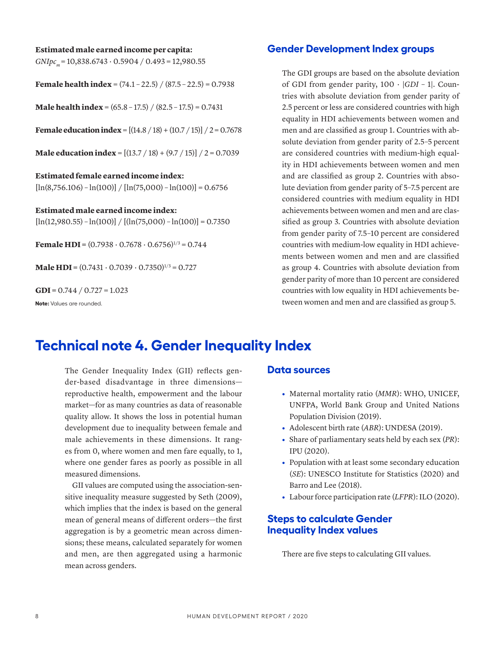# **Estimated male earned income per capita:**

*GNIpc*<sub>m</sub> = 10,838.6743 ⋅ 0.5904 / 0.493 = 12,980.55

**Female health index** =  $(74.1 - 22.5) / (87.5 - 22.5) = 0.7938$ 

**Male health index** =  $(65.8 - 17.5) / (82.5 - 17.5) = 0.7431$ 

**Female education index** =  $[(14.8 / 18) + (10.7 / 15)] / 2 = 0.7678$ 

**Male education index** =  $[(13.7 / 18) + (9.7 / 15)] / 2 = 0.7039$ 

**Estimated female earned income index:**  $[\ln(8,756.106) - \ln(100)] / [\ln(75,000) - \ln(100)] = 0.6756$ 

**Estimated male earned income index:**  $[\ln(12,980.55) - \ln(100)] / [(ln(75,000) - \ln(100))] = 0.7350$ 

**Female HDI** =  $(0.7938 \cdot 0.7678 \cdot 0.6756)^{1/3} = 0.744$ 

**Male HDI** =  $(0.7431 \cdot 0.7039 \cdot 0.7350)^{1/3} = 0.727$ 

**GDI =** 0.744 / 0.727 = 1.023

**Note:** Values are rounded.

## **Gender Development Index groups**

The GDI groups are based on the absolute deviation of GDI from gender parity, 100 ∙ |*GDI* – 1|. Countries with absolute deviation from gender parity of 2.5 percent or less are considered countries with high equality in HDI achievements between women and men and are classified as group 1. Countries with absolute deviation from gender parity of 2.5–5 percent are considered countries with medium-high equality in HDI achievements between women and men and are classified as group 2. Countries with absolute deviation from gender parity of 5–7.5 percent are considered countries with medium equality in HDI achievements between women and men and are classified as group 3. Countries with absolute deviation from gender parity of 7.5–10 percent are considered countries with medium-low equality in HDI achievements between women and men and are classified as group 4. Countries with absolute deviation from gender parity of more than 10 percent are considered countries with low equality in HDI achievements between women and men and are classified as group 5.

# **Technical note 4. Gender Inequality Index**

The Gender Inequality Index (GII) reflects gender-based disadvantage in three dimensions reproductive health, empowerment and the labour market—for as many countries as data of reasonable quality allow. It shows the loss in potential human development due to inequality between female and male achievements in these dimensions. It ranges from 0, where women and men fare equally, to 1, where one gender fares as poorly as possible in all measured dimensions.

GII values are computed using the association-sensitive inequality measure suggested by Seth (2009), which implies that the index is based on the general mean of general means of different orders—the first aggregation is by a geometric mean across dimensions; these means, calculated separately for women and men, are then aggregated using a harmonic mean across genders.

### **Data sources**

- **•** Maternal mortality ratio (*MMR*): WHO, UNICEF, UNFPA, World Bank Group and United Nations Population Division (2019).
- **•** Adolescent birth rate (*ABR*): UNDESA (2019).
- **•** Share of parliamentary seats held by each sex (*PR*): IPU (2020).
- **•** Population with at least some secondary education (*SE*): UNESCO Institute for Statistics (2020) and Barro and Lee (2018).
- **•** Labour force participation rate (*LFPR*): ILO (2020).

# **Steps to calculate Gender Inequality Index values**

There are five steps to calculating GII values.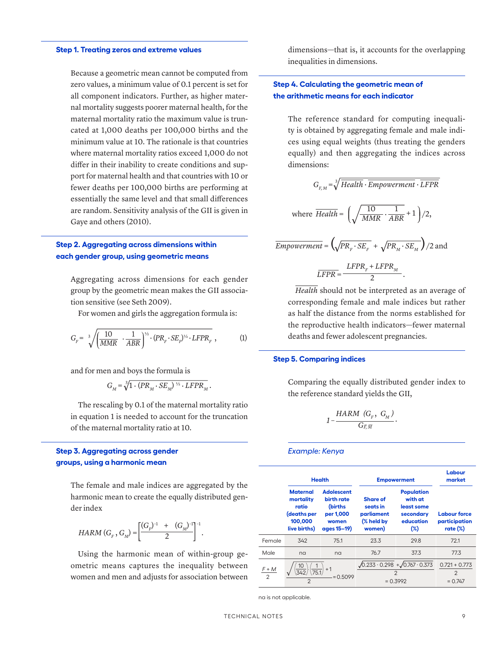#### **Step 1. Treating zeros and extreme values**

Because a geometric mean cannot be computed from zero values, a minimum value of 0.1 percent is set for all component indicators. Further, as higher maternal mortality suggests poorer maternal health, for the maternal mortality ratio the maximum value is truncated at 1,000 deaths per 100,000 births and the minimum value at 10. The rationale is that countries where maternal mortality ratios exceed 1,000 do not differ in their inability to create conditions and support for maternal health and that countries with 10 or fewer deaths per 100,000 births are performing at essentially the same level and that small differences are random. Sensitivity analysis of the GII is given in Gaye and others (2010).

## **Step 2. Aggregating across dimensions within each gender group, using geometric means**

Aggregating across dimensions for each gender group by the geometric mean makes the GII association sensitive (see Seth 2009).

For women and girls the aggregation formula is:

$$
G_F = \sqrt[3]{\left(\frac{10}{MMR} \cdot \frac{1}{ABR}\right)^{\frac{1}{2}} \cdot (PR_F \cdot SE_F)^{\frac{1}{2}} \cdot LFPR_F}, \qquad (1)
$$

and for men and boys the formula is

$$
G_M = \sqrt[3]{1 \cdot (PR_M \cdot SE_M)^{1/2} \cdot LFPR_M}.
$$

The rescaling by 0.1 of the maternal mortality ratio in equation 1 is needed to account for the truncation of the maternal mortality ratio at 10.

## **Step 3. Aggregating across gender groups, using a harmonic mean**

The female and male indices are aggregated by the harmonic mean to create the equally distributed gender index

$$
HARM(GF, GM) = \left[\frac{(GF)^{-1} + (GM)^{-1}}{2}\right]^{-1}.
$$

Using the harmonic mean of within-group geometric means captures the inequality between women and men and adjusts for association between dimensions—that is, it accounts for the overlapping inequalities in dimensions.

## **Step 4. Calculating the geometric mean of the arithmetic means for each indicator**

The reference standard for computing inequality is obtained by aggregating female and male indices using equal weights (thus treating the genders equally) and then aggregating the indices across dimensions:

$$
G_{F,M} = \sqrt[3]{Health \cdot Empowerment \cdot \overline{LFPR}}
$$
  
where  $\overline{Health} = \left(\sqrt{\frac{10}{MMR} \cdot \frac{1}{ABR}} + 1\right)/2$ ,  

$$
\overline{Empowerment} = \left(\sqrt{PR_F \cdot SE_F} + \sqrt{PR_M \cdot SE_M}\right)/2
$$
 and
$$
\overline{LFPR} = \frac{LFPR_F + LFPR_M}{2}.
$$

*Health* should not be interpreted as an average of corresponding female and male indices but rather as half the distance from the norms established for the reproductive health indicators—fewer maternal deaths and fewer adolescent pregnancies.

#### **Step 5. Comparing indices**

Comparing the equally distributed gender index to the reference standard yields the GII,

$$
1-\frac{HARM\ (G_{_{F}},\ G_{_{M}})}{G_{\bar{F},\,\overline{M}}}.
$$

#### *Example: Kenya*

|                         | <b>Health</b>                                                                   |                                                                                 | <b>Empowerment</b>                                                                      | Labour<br>market                                                               |                                                     |  |
|-------------------------|---------------------------------------------------------------------------------|---------------------------------------------------------------------------------|-----------------------------------------------------------------------------------------|--------------------------------------------------------------------------------|-----------------------------------------------------|--|
|                         | <b>Maternal</b><br>mortality<br>ratio<br>(deaths per<br>100,000<br>live births) | <b>Adolescent</b><br>birth rate<br>(births<br>per 1,000<br>women<br>ages 15-19) | <b>Share of</b><br>seats in<br>parliament<br>(% held by<br>women)                       | <b>Population</b><br>with at<br>least some<br>secondary<br>education<br>$(\%)$ | <b>Labour force</b><br>participation<br>rate $(\%)$ |  |
| Female                  | 342                                                                             | 75.1                                                                            | 23.3                                                                                    | 29.8                                                                           | 72.1                                                |  |
| Male                    | na                                                                              | na                                                                              | 76.7                                                                                    | 37.3                                                                           | 77.3                                                |  |
| F + M<br>$\overline{2}$ | $= 0.5099$<br>$\mathcal{P}$                                                     |                                                                                 | $\sqrt{0.233 \cdot 0.298}$ + $\sqrt{0.767 \cdot 0.373}$<br>$\overline{2}$<br>$= 0.3992$ |                                                                                | $0.721 + 0.773$<br>2<br>$= 0.747$                   |  |

na is not applicable.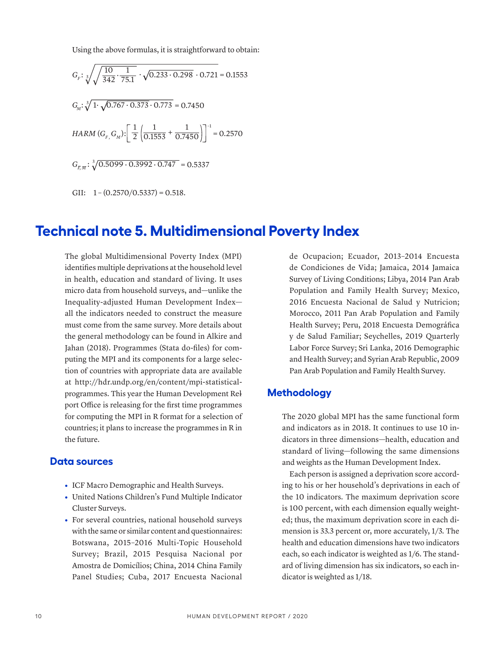Using the above formulas, it is straightforward to obtain:

 $G_F: \sqrt[3]{\frac{10}{342}}$ 1  $\cdot \frac{1}{75.1} \cdot \sqrt{0.233 \cdot 0.298} \cdot 0.721 = 0.1553$  $G_M: \sqrt[3]{1} \cdot \sqrt{0.767 \cdot 0.373} \cdot 0.773 = 0.7450$  $HARM(G_{F_{1}}G_{M})$ : $\left\lceil \frac{1}{2}\right\rceil \frac{1}{0.15}$ 0.1553 1 2  $+\frac{1}{0.7450}\bigg]^{-1} = 0.2570$  $G_{F, m}$ :  $\sqrt[3]{0.5099 \cdot 0.3992 \cdot 0.747}$  = 0.5337 GII:  $1 - (0.2570/0.5337) = 0.518$ .

# **Technical note 5. Multidimensional Poverty Index**

The global Multidimensional Poverty Index (MPI) identifies multiple deprivations at the household level in health, education and standard of living. It uses micro data from household surveys, and—unlike the Inequality-adjusted Human Development Index all the indicators needed to construct the measure must come from the same survey. More details about the general methodology can be found in Alkire and Jahan (2018). Programmes (Stata do-files) for computing the MPI and its components for a large selection of countries with appropriate data are available at [http://hdr.undp.org/en/content/mpi-statistical](http://hdr.undp.org/en/content/mpi-statistical-programmes)[programmes](http://hdr.undp.org/en/content/mpi-statistical-programmes). This year the Human Development Rel port Office is releasing for the first time programmes for computing the MPI in R format for a selection of countries; it plans to increase the programmes in R in the future.

#### **Data sources**

- **•** ICF Macro Demographic and Health Surveys.
- **•** United Nations Children's Fund Multiple Indicator Cluster Surveys.
- **•** For several countries, national household surveys with the same or similar content and questionnaires: Botswana, 2015–2016 Multi-Topic Household Survey; Brazil, 2015 Pesquisa Nacional por Amostra de Domicílios; China, 2014 China Family Panel Studies; Cuba, 2017 Encuesta Nacional

de Ocupacion; Ecuador, 2013–2014 Encuesta de Condiciones de Vida; Jamaica, 2014 Jamaica Survey of Living Conditions; Libya, 2014 Pan Arab Population and Family Health Survey; Mexico, 2016 Encuesta Nacional de Salud y Nutricion; Morocco, 2011 Pan Arab Population and Family Health Survey; Peru, 2018 Encuesta Demográfica y de Salud Familiar; Seychelles, 2019 Quarterly Labor Force Survey; Sri Lanka, 2016 Demographic and Health Survey; and Syrian Arab Republic, 2009 Pan Arab Population and Family Health Survey.

## **Methodology**

The 2020 global MPI has the same functional form and indicators as in 2018. It continues to use 10 indicators in three dimensions—health, education and standard of living—following the same dimensions and weights as the Human Development Index.

Each person is assigned a deprivation score according to his or her household's deprivations in each of the 10 indicators. The maximum deprivation score is 100 percent, with each dimension equally weighted; thus, the maximum deprivation score in each dimension is 33.3 percent or, more accurately, 1/3. The health and education dimensions have two indicators each, so each indicator is weighted as 1/6. The standard of living dimension has six indicators, so each indicator is weighted as 1/18.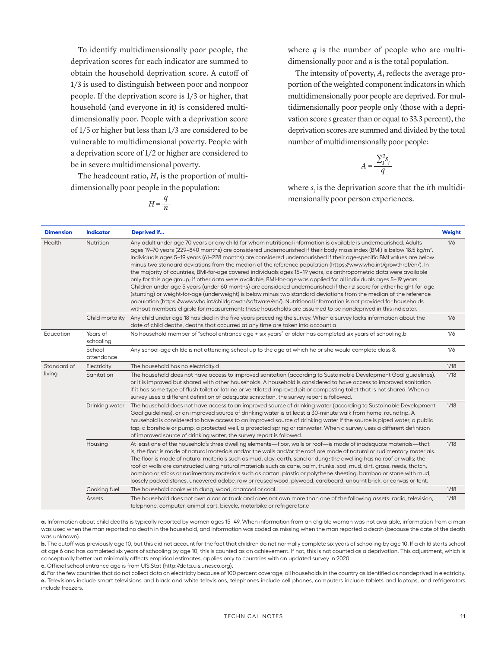To identify multidimensionally poor people, the deprivation scores for each indicator are summed to obtain the household deprivation score. A cutoff of 1/3 is used to distinguish between poor and nonpoor people. If the deprivation score is 1/3 or higher, that household (and everyone in it) is considered multidimensionally poor. People with a deprivation score of 1/5 or higher but less than 1/3 are considered to be vulnerable to multidimensional poverty. People with a deprivation score of 1/2 or higher are considered to be in severe multidimensional poverty.

The headcount ratio, *H*, is the proportion of multidimensionally poor people in the population:

$$
H = \frac{q}{n}
$$

where  $q$  is the number of people who are multidimensionally poor and *n* is the total population.

The intensity of poverty, *A*, reflects the average proportion of the weighted component indicators in which multidimensionally poor people are deprived. For multidimensionally poor people only (those with a deprivation score *s* greater than or equal to 33.3 percent), the deprivation scores are summed and divided by the total number of multidimensionally poor people:

$$
A = \frac{\sum_{i}^{q} s_{i}}{q}
$$

where  $s_i$  is the deprivation score that the *i*th multidimensionally poor person experiences.

| <b>Dimension</b> | <b>Indicator</b>      | Deprived if                                                                                                                                                                                                                                                                                                                                                                                                                                                                                                                                                                                                                                                                                                                                                                                                                                                                                                                                                                                                                                                                                                                                                                                                                        | Weight |
|------------------|-----------------------|------------------------------------------------------------------------------------------------------------------------------------------------------------------------------------------------------------------------------------------------------------------------------------------------------------------------------------------------------------------------------------------------------------------------------------------------------------------------------------------------------------------------------------------------------------------------------------------------------------------------------------------------------------------------------------------------------------------------------------------------------------------------------------------------------------------------------------------------------------------------------------------------------------------------------------------------------------------------------------------------------------------------------------------------------------------------------------------------------------------------------------------------------------------------------------------------------------------------------------|--------|
| Health           | Nutrition             | Any adult under age 70 years or any child for whom nutritional information is available is undernourished. Adults<br>ages 19–70 years (229–840 months) are considered undernourished if their body mass index (BMI) is below 18.5 kg/m <sup>2</sup> .<br>Individuals ages 5-19 years (61-228 months) are considered undernourished if their age-specific BMI values are below<br>minus two standard deviations from the median of the reference population (https://www.who.int/growthref/en/). In<br>the majority of countries, BMI-for-age covered individuals ages 15-19 years, as anthropometric data were available<br>only for this age group; if other data were available, BMI-for-age was applied for all individuals ages 5-19 years.<br>Children under age 5 years (under 60 months) are considered undernourished if their z-score for either height-for-age<br>(stunting) or weight-for-age (underweight) is below minus two standard deviations from the median of the reference<br>population (https://www.who.int/childgrowth/software/en/). Nutritional information is not provided for households<br>without members eligible for measurement; these households are assumed to be nondeprived in this indicator. | 1/6    |
|                  | Child mortality       | Any child under age 18 has died in the five years preceding the survey. When a survey lacks information about the<br>date of child deaths, deaths that occurred at any time are taken into account.a                                                                                                                                                                                                                                                                                                                                                                                                                                                                                                                                                                                                                                                                                                                                                                                                                                                                                                                                                                                                                               | 1/6    |
| Education        | Years of<br>schooling | No household member of "school entrance age + six years" or older has completed six years of schooling.b                                                                                                                                                                                                                                                                                                                                                                                                                                                                                                                                                                                                                                                                                                                                                                                                                                                                                                                                                                                                                                                                                                                           | 1/6    |
|                  | School<br>attendance  | Any school-age childc is not attending school up to the age at which he or she would complete class 8.                                                                                                                                                                                                                                                                                                                                                                                                                                                                                                                                                                                                                                                                                                                                                                                                                                                                                                                                                                                                                                                                                                                             | 1/6    |
| Standard of      | Electricity           | The household has no electricity.d                                                                                                                                                                                                                                                                                                                                                                                                                                                                                                                                                                                                                                                                                                                                                                                                                                                                                                                                                                                                                                                                                                                                                                                                 | 1/18   |
| living           | Sanitation            | The household does not have access to improved sanitation (according to Sustainable Development Goal guidelines),<br>or it is improved but shared with other households. A household is considered to have access to improved sanitation<br>if it has some type of flush toilet or latrine or ventilated improved pit or composting toilet that is not shared. When a<br>survey uses a different definition of adequate sanitation, the survey report is followed.                                                                                                                                                                                                                                                                                                                                                                                                                                                                                                                                                                                                                                                                                                                                                                 | 1/18   |
|                  | Drinking water        | The household does not have access to an improved source of drinking water (according to Sustainable Development<br>Goal guidelines), or an improved source of drinking water is at least a 30-minute walk from home, roundtrip. A<br>household is considered to have access to an improved source of drinking water if the source is piped water, a public<br>tap, a borehole or pump, a protected well, a protected spring or rainwater. When a survey uses a different definition<br>of improved source of drinking water, the survey report is followed.                                                                                                                                                                                                                                                                                                                                                                                                                                                                                                                                                                                                                                                                       | 1/18   |
|                  | Housing               | At least one of the household's three dwelling elements—floor, walls or roof—is made of inadequate materials—that<br>is, the floor is made of natural materials and/or the walls and/or the roof are made of natural or rudimentary materials.<br>The floor is made of natural materials such as mud, clay, earth, sand or dung; the dwelling has no roof or walls; the<br>roof or walls are constructed using natural materials such as cane, palm, trunks, sod, mud, dirt, grass, reeds, thatch,<br>bamboo or sticks or rudimentary materials such as carton, plastic or polythene sheeting, bamboo or stone with mud,<br>loosely packed stones, uncovered adobe, raw or reused wood, plywood, cardboard, unburnt brick, or canvas or tent.                                                                                                                                                                                                                                                                                                                                                                                                                                                                                      | 1/18   |
|                  | Cooking fuel          | The household cooks with dung, wood, charcoal or coal.                                                                                                                                                                                                                                                                                                                                                                                                                                                                                                                                                                                                                                                                                                                                                                                                                                                                                                                                                                                                                                                                                                                                                                             | 1/18   |
|                  | Assets                | The household does not own a car or truck and does not own more than one of the following assets: radio, television,<br>telephone, computer, animal cart, bicycle, motorbike or refrigerator.e                                                                                                                                                                                                                                                                                                                                                                                                                                                                                                                                                                                                                                                                                                                                                                                                                                                                                                                                                                                                                                     | 1/18   |

**a.** Information about child deaths is typically reported by women ages 15–49. When information from an eligible woman was not available, information from a man was used when the man reported no death in the household, and information was coded as missing when the man reported a death (because the date of the death was unknown).

**b.** The cutoff was previously age 10, but this did not account for the fact that children do not normally complete six years of schooling by age 10. If a child starts school at age 6 and has completed six years of schooling by age 10, this is counted as an achievement. If not, this is not counted as a deprivation. This adjustment, which is conceptually better but minimally affects empirical estimates, applies only to countries with an updated survey in 2020.

**c.** Official school entrance age is from UIS.Stat [\(http://data.uis.unesco.org](http://data.uis.unesco.org)).

**d.** For the few countries that do not collect data on electricity because of 100 percent coverage, all households in the country as identified as nondeprived in electricity. **e.** Televisions include smart televisions and black and white televisions, telephones include cell phones, computers include tablets and laptops, and refrigerators include freezers.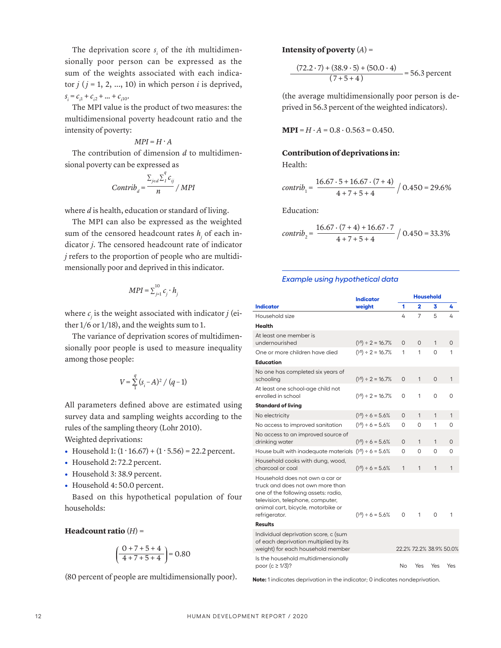The deprivation score  $s_i$  of the *i*th multidimensionally poor person can be expressed as the sum of the weights associated with each indicator  $j$  ( $j = 1, 2, ..., 10$ ) in which person  $i$  is deprived,  $s_i = c_{i1} + c_{i2} + ... + c_{i10}$ .

The MPI value is the product of two measures: the multidimensional poverty headcount ratio and the intensity of poverty:

$$
MPI = H \cdot A
$$

The contribution of dimension *d* to multidimensional poverty can be expressed as

$$
Contrib_{d} = \frac{\sum_{j \in d} \sum_{i}^{q} c_{ij}}{n} / MPI
$$

where *d* is health, education or standard of living.

The MPI can also be expressed as the weighted sum of the censored headcount rates  $h_j$  of each indicator *j*. The censored headcount rate of indicator *j* refers to the proportion of people who are multidimensionally poor and deprived in this indicator.

$$
MPI = \sum_{j=1}^{10} c_j \cdot h_j
$$

where  $c_j$  is the weight associated with indicator  $j$  (either 1/6 or 1/18), and the weights sum to 1.

The variance of deprivation scores of multidimensionally poor people is used to measure inequality among those people:

$$
V = \sum_{1}^{q} (s_i - A)^2 / (q - 1)
$$

All parameters defined above are estimated using survey data and sampling weights according to the rules of the sampling theory (Lohr 2010).

Weighted deprivations:

- Household 1:  $(1.16.67) + (1.5.56) = 22.2$  percent.
- **•** Household 2: 72.2 percent.
- **•** Household 3: 38.9 percent.
- **•** Household 4: 50.0 percent.

Based on this hypothetical population of four households:

#### **Headcount ratio** (*H*) =

$$
\left(\frac{0+7+5+4}{4+7+5+4}\right) = 0.80
$$

(80 percent of people are multidimensionally poor).

#### **Intensity of poverty**  $(A)$  =

$$
\frac{(72.2 \cdot 7) + (38.9 \cdot 5) + (50.0 \cdot 4)}{(7 + 5 + 4)} = 56.3 \text{ percent}
$$

(the average multidimensionally poor person is deprived in 56.3 percent of the weighted indicators).

 $MPI = H \cdot A = 0.8 \cdot 0.563 = 0.450.$ 

#### **Contribution of deprivations in:** Health:

$$
contrib_{1} = \frac{16.67 \cdot 5 + 16.67 \cdot (7 + 4)}{4 + 7 + 5 + 4} / 0.450 = 29.6\%
$$

Education:

$$
contrib_{2} = \frac{16.67 \cdot (7+4) + 16.67 \cdot 7}{4+7+5+4} / 0.450 = 33.3\%
$$

#### *Example using hypothetical data*

|                                                                                                                                                                                                       | <b>Indicator</b>                |          |                         | <b>Household</b> |          |
|-------------------------------------------------------------------------------------------------------------------------------------------------------------------------------------------------------|---------------------------------|----------|-------------------------|------------------|----------|
| <b>Indicator</b>                                                                                                                                                                                      | weight                          | 1        | 2                       | 3                | 4        |
| Household size                                                                                                                                                                                        |                                 | 4        | 7                       | 5                | 4        |
| Health                                                                                                                                                                                                |                                 |          |                         |                  |          |
| At least one member is<br>undernourished                                                                                                                                                              | $(\frac{1}{5}) \div 2 = 16.7\%$ | $\Omega$ | $\Omega$                | 1                | $\Omega$ |
| One or more children have died                                                                                                                                                                        | $(\frac{1}{5}) \div 2 = 16.7\%$ | 1        | 1                       | 0                | 1        |
| Education                                                                                                                                                                                             |                                 |          |                         |                  |          |
| No one has completed six years of<br>schooling                                                                                                                                                        | $(\frac{1}{5}) \div 2 = 16.7\%$ | $\Omega$ | 1                       | $\Omega$         | 1        |
| At least one school-age child not<br>enrolled in school                                                                                                                                               | $(\frac{1}{5}) \div 2 = 16.7\%$ | 0        | 1                       | 0                | 0        |
| Standard of living                                                                                                                                                                                    |                                 |          |                         |                  |          |
| No electricity                                                                                                                                                                                        | $(\frac{1}{5}) \div 6 = 5.6\%$  | 0        | 1                       | $\mathbf{1}$     | 1        |
| No access to improved sanitation                                                                                                                                                                      | $(\frac{1}{5}) \div 6 = 5.6\%$  | 0        | 0                       | 1                | 0        |
| No access to an improved source of<br>drinking water                                                                                                                                                  | $(\frac{1}{5}) \div 6 = 5.6\%$  | $\Omega$ | 1                       | 1                | $\Omega$ |
| House built with inadequate materials                                                                                                                                                                 | $(\frac{1}{5}) \div 6 = 5.6\%$  | 0        | 0                       | 0                | 0        |
| Household cooks with dung, wood,<br>charcoal or coal                                                                                                                                                  | $(\frac{1}{5}) \div 6 = 5.6\%$  | 1        | 1                       | 1                | 1        |
| Household does not own a car or<br>truck and does not own more than<br>one of the following assets: radio,<br>television, telephone, computer,<br>animal cart, bicycle, motorbike or<br>refrigerator. | $(\frac{1}{5}) \div 6 = 5.6\%$  | 0        | 1                       | 0                | 1        |
| Results                                                                                                                                                                                               |                                 |          |                         |                  |          |
| Individual deprivation score, c (sum<br>of each deprivation multiplied by its<br>weight) for each household member                                                                                    |                                 |          | 22.2% 72.2% 38.9% 50.0% |                  |          |
| Is the household multidimensionally<br>poor (c ≥ 1/3)?                                                                                                                                                |                                 | No       | Yes                     | Yes              | Yes      |

**Note:** 1 indicates deprivation in the indicator; 0 indicates nondeprivation.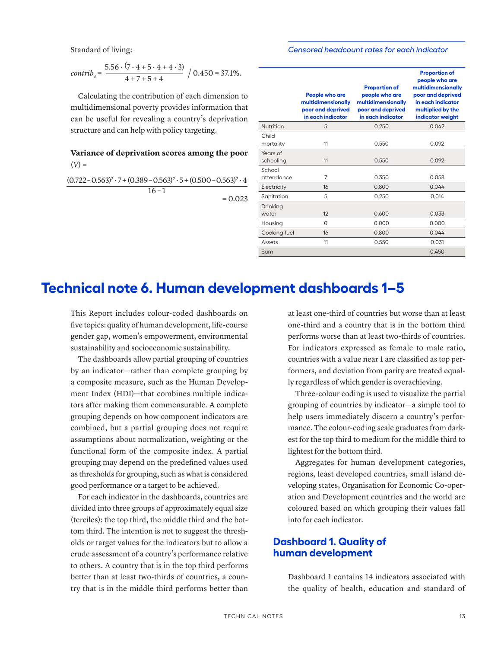Standard of living:

#### *Censored headcount rates for each indicator*

*contrib<sub>3</sub>* = 
$$
\frac{5.56 \cdot (7 \cdot 4 + 5 \cdot 4 + 4 \cdot 3)}{4 + 7 + 5 + 4}
$$
 / 0.450 = 37.1%.

Calculating the contribution of each dimension to multidimensional poverty provides information that can be useful for revealing a country's deprivation structure and can help with policy targeting.

## **Variance of deprivation scores among the poor**  $(V) =$

 $(0.722 - 0.563)^{2} \cdot 7 + (0.389 - 0.563)^{2} \cdot 5 + (0.500 - 0.563)^{2} \cdot 4$  $16 - 1$ 

 $= 0.023$ 

|                       | People who are<br>multidimensionally<br>poor and deprived<br>in each indicator | <b>Proportion of</b><br>people who are<br>multidimensionally<br>poor and deprived<br>in each indicator | <b>Proportion of</b><br>people who are<br>multidimensionally<br>poor and deprived<br>in each indicator<br>multiplied by the<br>indicator weight |
|-----------------------|--------------------------------------------------------------------------------|--------------------------------------------------------------------------------------------------------|-------------------------------------------------------------------------------------------------------------------------------------------------|
| Nutrition             | 5                                                                              | 0.250                                                                                                  | 0.042                                                                                                                                           |
| Child<br>mortality    | 11                                                                             | 0.550                                                                                                  | 0.092                                                                                                                                           |
| Years of<br>schooling | 11                                                                             | 0.550                                                                                                  | 0.092                                                                                                                                           |
| School<br>attendance  | 7                                                                              | 0.350                                                                                                  | 0.058                                                                                                                                           |
| Electricity           | 16                                                                             | 0.800                                                                                                  | 0.044                                                                                                                                           |
| Sanitation            | 5                                                                              | 0.250                                                                                                  | 0.014                                                                                                                                           |
| Drinking<br>water     | 12                                                                             | 0.600                                                                                                  | 0.033                                                                                                                                           |
| Housing               | $\Omega$                                                                       | 0.000                                                                                                  | 0.000                                                                                                                                           |
| Cooking fuel          | 16                                                                             | 0.800                                                                                                  | 0.044                                                                                                                                           |
| Assets                | 11                                                                             | 0.550                                                                                                  | 0.031                                                                                                                                           |
| Sum                   |                                                                                |                                                                                                        | 0.450                                                                                                                                           |
|                       |                                                                                |                                                                                                        |                                                                                                                                                 |

# **Technical note 6. Human development dashboards 1–5**

This Report includes colour-coded dashboards on five topics: quality of human development, life-course gender gap, women's empowerment, environmental sustainability and socioeconomic sustainability.

The dashboards allow partial grouping of countries by an indicator—rather than complete grouping by a composite measure, such as the Human Development Index (HDI)—that combines multiple indicators after making them commensurable. A complete grouping depends on how component indicators are combined, but a partial grouping does not require assumptions about normalization, weighting or the functional form of the composite index. A partial grouping may depend on the predefined values used as thresholds for grouping, such as what is considered good performance or a target to be achieved.

For each indicator in the dashboards, countries are divided into three groups of approximately equal size (terciles): the top third, the middle third and the bottom third. The intention is not to suggest the thresholds or target values for the indicators but to allow a crude assessment of a country's performance relative to others. A country that is in the top third performs better than at least two-thirds of countries, a country that is in the middle third performs better than at least one-third of countries but worse than at least one-third and a country that is in the bottom third performs worse than at least two-thirds of countries. For indicators expressed as female to male ratio, countries with a value near 1 are classified as top performers, and deviation from parity are treated equally regardless of which gender is overachieving.

Three-colour coding is used to visualize the partial grouping of countries by indicator—a simple tool to help users immediately discern a country's performance. The colour-coding scale graduates from darkest for the top third to medium for the middle third to lightest for the bottom third.

Aggregates for human development categories, regions, least developed countries, small island developing states, Organisation for Economic Co-operation and Development countries and the world are coloured based on which grouping their values fall into for each indicator.

# **Dashboard 1. Quality of human development**

Dashboard 1 contains 14 indicators associated with the quality of health, education and standard of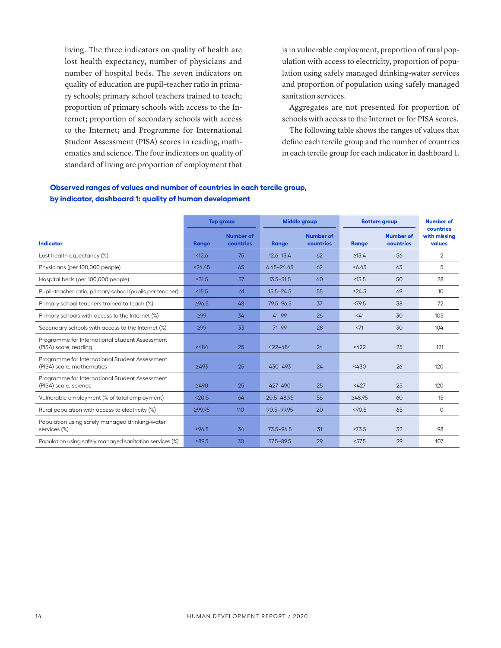living. The three indicators on quality of health are lost health expectancy, number of physicians and number of hospital beds. The seven indicators on quality of education are pupil–teacher ratio in primary schools; primary school teachers trained to teach; proportion of primary schools with access to the Internet; proportion of secondary schools with access to the Internet; and Programme for International Student Assessment (PISA) scores in reading, mathematics and science. The four indicators on quality of standard of living are proportion of employment that is in vulnerable employment, proportion of rural population with access to electricity, proportion of population using safely managed drinking-water services and proportion of population using safely managed sanitation services.

Aggregates are not presented for proportion of schools with access to the Internet or for PISA scores.

The following table shows the ranges of values that define each tercile group and the number of countries in each tercile group for each indicator in dashboard 1.

|                                                                             |              | <b>Top group</b>              | <b>Middle group</b> |                               |             | <b>Bottom group</b>           | <b>Number of</b>                    |  |
|-----------------------------------------------------------------------------|--------------|-------------------------------|---------------------|-------------------------------|-------------|-------------------------------|-------------------------------------|--|
| <b>Indicator</b>                                                            | Range        | <b>Number of</b><br>countries | Range               | <b>Number of</b><br>countries | Range       | <b>Number of</b><br>countries | countries<br>with missing<br>values |  |
| Lost health expectancy (%)                                                  | < 12.6       | 75                            | $12.6 - 13.4$       | 62                            | $\geq 13.4$ | 56                            | $\overline{2}$                      |  |
| Physicians (per 100,000 people)                                             | $\geq$ 24.45 | 65                            | $6.45 - 24.45$      | 62                            | 56.45       | 63                            | 5                                   |  |
| Hospital beds (per 100,000 people)                                          | $\geq 31.5$  | 57                            | $13.5 - 31.5$       | 60                            | < 13.5      | 50                            | 28                                  |  |
| Pupil-teacher ratio, primary school (pupils per teacher)                    | < 15.5       | 61                            | $15.5 - 24.5$       | 55                            | $\geq$ 24.5 | 69                            | 10 <sup>°</sup>                     |  |
| Primary school teachers trained to teach (%)                                | $\geq$ 96.5  | 48                            | $79.5 - 96.5$       | 37                            | <79.5       | 38                            | 72                                  |  |
| Primary schools with access to the Internet (%)                             | 299          | 34                            | $41 - 99$           | 26                            | <41         | 30                            | 105                                 |  |
| Secondary schools with access to the Internet (%)                           | 299          | 33                            | $71 - 99$           | 28                            | <71         | 30                            | 104                                 |  |
| Programme for International Student Assessment<br>(PISA) score, reading     | ≥484         | 25                            | 422-484             | 24                            | <422        | 25                            | 121                                 |  |
| Programme for International Student Assessment<br>(PISA) score, mathematics | ≥493         | 25                            | 430-493             | 24                            | <430        | 26                            | 120                                 |  |
| Programme for International Student Assessment<br>(PISA) score, science     | ≥490         | 25                            | 427-490             | 25                            | <427        | 25                            | 120                                 |  |
| Vulnerable employment (% of total employment)                               | < 20.5       | 64                            | 20.5-48.95          | 56                            | >48.95      | 60                            | 15                                  |  |
| Rural population with access to electricity (%)                             | 299.95       | 110                           | 90.5-99.95          | 20                            | < 90.5      | 65                            | $\circ$                             |  |
| Population using safely managed drinking-water<br>services (%)              | ≥96.5        | 34                            | $73.5 - 96.5$       | 31                            | <73.5       | 32                            | 98                                  |  |
| Population using safely managed sanitation services (%)                     | ≥89.5        | 30                            | $57.5 - 89.5$       | 29                            | 57.5        | 29                            | 107                                 |  |
|                                                                             |              |                               |                     |                               |             |                               |                                     |  |

### **Observed ranges of values and number of countries in each tercile group, by indicator, dashboard 1: quality of human development**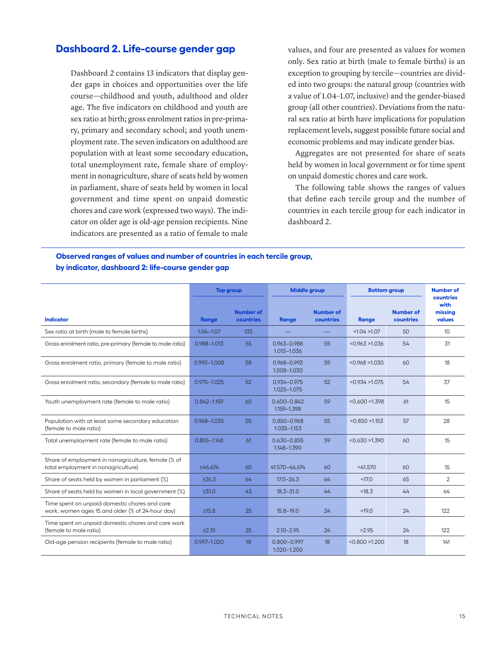## **Dashboard 2. Life-course gender gap**

Dashboard 2 contains 13 indicators that display gender gaps in choices and opportunities over the life course—childhood and youth, adulthood and older age. The five indicators on childhood and youth are sex ratio at birth; gross enrolment ratios in pre-primary, primary and secondary school; and youth unemployment rate. The seven indicators on adulthood are population with at least some secondary education, total unemployment rate, female share of employment in nonagriculture, share of seats held by women in parliament, share of seats held by women in local government and time spent on unpaid domestic chores and care work (expressed two ways). The indicator on older age is old-age pension recipients. Nine indicators are presented as a ratio of female to male

values, and four are presented as values for women only. Sex ratio at birth (male to female births) is an exception to grouping by tercile—countries are divided into two groups: the natural group (countries with a value of 1.04–1.07, inclusive) and the gender-biased group (all other countries). Deviations from the natural sex ratio at birth have implications for population replacement levels, suggest possible future social and economic problems and may indicate gender bias.

Aggregates are not presented for share of seats held by women in local government or for time spent on unpaid domestic chores and care work.

The following table shows the ranges of values that define each tercile group and the number of countries in each tercile group for each indicator in dashboard 2.

### **Observed ranges of values and number of countries in each tercile group, by indicator, dashboard 2: life-course gender gap**

|                                                                                                   | <b>Top group</b> |                               | <b>Middle group</b>                |                               | <b>Bottom group</b> |                               | <b>Number of</b>                       |
|---------------------------------------------------------------------------------------------------|------------------|-------------------------------|------------------------------------|-------------------------------|---------------------|-------------------------------|----------------------------------------|
| <b>Indicator</b>                                                                                  | <b>Range</b>     | <b>Number of</b><br>countries | Range                              | <b>Number of</b><br>countries | Range               | <b>Number of</b><br>countries | countries<br>with<br>missing<br>values |
| Sex ratio at birth (male to female births)                                                        | $1.04 - 1.07$    | 135                           |                                    |                               | <1.04>1.07          | 50                            | 10                                     |
| Gross enrolment ratio, pre-primary (female to male ratio)                                         | 0.988-1.013      | 55                            | 0.963-0.988<br>1.013-1.036         | 55                            | < 0.963 > 1.036     | 54                            | 31                                     |
| Gross enrolment ratio, primary (female to male ratio)                                             | 0.993-1.008      | 58                            | 0.968-0.993<br>1.008-1.030         | 59                            | < 0.968 > 1.030     | 60                            | 18                                     |
| Gross enrolment ratio, secondary (female to male ratio)                                           | $0.975 - 1.025$  | 52                            | 0.934-0.975<br>$1.025 - 1.075$     | 52                            | < 0.934 > 1.075     | 54                            | 37                                     |
| Youth unemployment rate (female to male ratio)                                                    | $0.842 - 1.159$  | 60                            | $0.600 - 0.842$<br>1.159-1.398     | 59                            | < 0.600 > 1.398     | 61                            | 15                                     |
| Population with at least some secondary education<br>(female to male ratio)                       | 0.968-1.035      | 55                            | $0.850 - 0.968$<br>$1.035 - 1.153$ | 55                            | < 0.850 > 1.153     | 57                            | 28                                     |
| Total unemployment rate (female to male ratio)                                                    | $0.855 - 1.148$  | 61                            | $0.630 - 0.855$<br>1.148-1.390     | 59                            | < 0.630 > 1.390     | 60                            | 15                                     |
| Share of employment in nonagriculture, female (% of<br>total employment in nonagriculture)        | $\geq 46.674$    | 60                            | 41.570-46.674                      | 60                            | <41.570             | 60                            | 15                                     |
| Share of seats held by women in parliament (%)                                                    | $\geq 26.3$      | 64                            | $17.0 - 26.3$                      | 64                            | < 17.0              | 65                            | $\overline{2}$                         |
| Share of seats held by women in local government (%)                                              | $\geq 31.0$      | 43                            | $18.3 - 31.0$                      | 44                            | < 18.3              | 44                            | 64                                     |
| Time spent on unpaid domestic chores and care<br>work, women ages 15 and older (% of 24-hour day) | $\leq 15.8$      | 25                            | $15.8 - 19.0$                      | 24                            | >19.0               | 24                            | 122                                    |
| Time spent on unpaid domestic chores and care work<br>(female to male ratio)                      | $\leq$ 2.10      | 25                            | $2.10 - 2.95$                      | 24                            | >2.95               | 24                            | 122                                    |
| Old-age pension recipients (female to male ratio)                                                 | 0.997-1.020      | 18                            | $0.800 - 0.997$<br>1.020-1.200     | 18                            | < 0.800 > 1.200     | 18                            | 141                                    |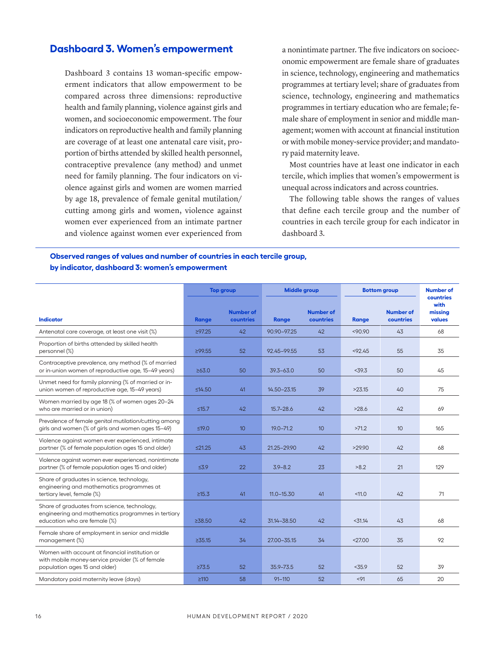# **Dashboard 3. Women's empowerment**

Dashboard 3 contains 13 woman-specific empowerment indicators that allow empowerment to be compared across three dimensions: reproductive health and family planning, violence against girls and women, and socioeconomic empowerment. The four indicators on reproductive health and family planning are coverage of at least one antenatal care visit, proportion of births attended by skilled health personnel, contraceptive prevalence (any method) and unmet need for family planning. The four indicators on violence against girls and women are women married by age 18, prevalence of female genital mutilation/ cutting among girls and women, violence against women ever experienced from an intimate partner and violence against women ever experienced from

a nonintimate partner. The five indicators on socioeconomic empowerment are female share of graduates in science, technology, engineering and mathematics programmes at tertiary level; share of graduates from science, technology, engineering and mathematics programmes in tertiary education who are female; female share of employment in senior and middle management; women with account at financial institution or with mobile money-service provider; and mandatory paid maternity leave.

Most countries have at least one indicator in each tercile, which implies that women's empowerment is unequal across indicators and across countries.

The following table shows the ranges of values that define each tercile group and the number of countries in each tercile group for each indicator in dashboard 3.

### **Observed ranges of values and number of countries in each tercile group, by indicator, dashboard 3: women's empowerment**

| <b>Number of</b><br><b>Number of</b><br><b>Number of</b><br><b>Indicator</b><br>countries<br>countries<br>countries<br>Range<br>Range<br><b>Range</b><br>42<br>42<br>43<br>Antenatal care coverage, at least one visit (%)<br>$\geq$ 97.25<br>90.90-97.25<br>< 90.90<br>Proportion of births attended by skilled health<br>52<br>53<br>55<br>35<br>personnel (%)<br>≥99.55<br>92.45-99.55<br>< 92.45<br>Contraceptive prevalence, any method (% of married<br>or in-union women of reproductive age, 15-49 years)<br>50<br>< 39.3<br>50<br>≥63.0<br>$39.3 - 63.0$<br>50<br>Unmet need for family planning (% of married or in-<br>union women of reproductive age, 15-49 years)<br>≤14.50<br>41<br>14.50-23.15<br>39<br>>23.15<br>40<br>Women married by age 18 (% of women ages 20-24<br>who are married or in union)<br>$\leq 15.7$<br>42<br>$15.7 - 28.6$<br>42<br>>28.6<br>42<br>69<br>Prevalence of female genital mutilation/cutting among<br>girls and women (% of girls and women ages 15-49)<br>≤19.0<br>10 <sup>10</sup><br>$19.0 - 71.2$<br>10<br>>71.2<br>10<br>Violence against women ever experienced, intimate<br>≤21.25<br>43<br>42<br>>29.90<br>42<br>68<br>partner (% of female population ages 15 and older)<br>21.25-29.90<br>Violence against women ever experienced, nonintimate<br>partner (% of female population ages 15 and older)<br>22<br>$\leq 3.9$<br>$3.9 - 8.2$<br>23<br>>8.2<br>21<br>129<br>Share of graduates in science, technology,<br>engineering and mathematics programmes at<br>tertiary level, female (%)<br>41<br>< 11.0<br>$\geq 15.3$<br>$11.0 - 15.30$<br>41<br>42<br>71 | countries<br>with<br>missing<br>values<br>68<br>45<br>75 |
|------------------------------------------------------------------------------------------------------------------------------------------------------------------------------------------------------------------------------------------------------------------------------------------------------------------------------------------------------------------------------------------------------------------------------------------------------------------------------------------------------------------------------------------------------------------------------------------------------------------------------------------------------------------------------------------------------------------------------------------------------------------------------------------------------------------------------------------------------------------------------------------------------------------------------------------------------------------------------------------------------------------------------------------------------------------------------------------------------------------------------------------------------------------------------------------------------------------------------------------------------------------------------------------------------------------------------------------------------------------------------------------------------------------------------------------------------------------------------------------------------------------------------------------------------------------------------------------------------------------------|----------------------------------------------------------|
|                                                                                                                                                                                                                                                                                                                                                                                                                                                                                                                                                                                                                                                                                                                                                                                                                                                                                                                                                                                                                                                                                                                                                                                                                                                                                                                                                                                                                                                                                                                                                                                                                        |                                                          |
|                                                                                                                                                                                                                                                                                                                                                                                                                                                                                                                                                                                                                                                                                                                                                                                                                                                                                                                                                                                                                                                                                                                                                                                                                                                                                                                                                                                                                                                                                                                                                                                                                        |                                                          |
|                                                                                                                                                                                                                                                                                                                                                                                                                                                                                                                                                                                                                                                                                                                                                                                                                                                                                                                                                                                                                                                                                                                                                                                                                                                                                                                                                                                                                                                                                                                                                                                                                        |                                                          |
|                                                                                                                                                                                                                                                                                                                                                                                                                                                                                                                                                                                                                                                                                                                                                                                                                                                                                                                                                                                                                                                                                                                                                                                                                                                                                                                                                                                                                                                                                                                                                                                                                        |                                                          |
|                                                                                                                                                                                                                                                                                                                                                                                                                                                                                                                                                                                                                                                                                                                                                                                                                                                                                                                                                                                                                                                                                                                                                                                                                                                                                                                                                                                                                                                                                                                                                                                                                        |                                                          |
|                                                                                                                                                                                                                                                                                                                                                                                                                                                                                                                                                                                                                                                                                                                                                                                                                                                                                                                                                                                                                                                                                                                                                                                                                                                                                                                                                                                                                                                                                                                                                                                                                        |                                                          |
|                                                                                                                                                                                                                                                                                                                                                                                                                                                                                                                                                                                                                                                                                                                                                                                                                                                                                                                                                                                                                                                                                                                                                                                                                                                                                                                                                                                                                                                                                                                                                                                                                        | 165                                                      |
|                                                                                                                                                                                                                                                                                                                                                                                                                                                                                                                                                                                                                                                                                                                                                                                                                                                                                                                                                                                                                                                                                                                                                                                                                                                                                                                                                                                                                                                                                                                                                                                                                        |                                                          |
|                                                                                                                                                                                                                                                                                                                                                                                                                                                                                                                                                                                                                                                                                                                                                                                                                                                                                                                                                                                                                                                                                                                                                                                                                                                                                                                                                                                                                                                                                                                                                                                                                        |                                                          |
|                                                                                                                                                                                                                                                                                                                                                                                                                                                                                                                                                                                                                                                                                                                                                                                                                                                                                                                                                                                                                                                                                                                                                                                                                                                                                                                                                                                                                                                                                                                                                                                                                        |                                                          |
| Share of graduates from science, technology,<br>engineering and mathematics programmes in tertiary<br>42<br>education who are female (%)<br>238.50<br>31.14-38.50<br>42<br>$<$ 31.14<br>43<br>68                                                                                                                                                                                                                                                                                                                                                                                                                                                                                                                                                                                                                                                                                                                                                                                                                                                                                                                                                                                                                                                                                                                                                                                                                                                                                                                                                                                                                       |                                                          |
| Female share of employment in senior and middle<br>management (%)<br>< 27.00<br>$\geq 35.15$<br>34<br>27.00-35.15<br>34<br>35                                                                                                                                                                                                                                                                                                                                                                                                                                                                                                                                                                                                                                                                                                                                                                                                                                                                                                                                                                                                                                                                                                                                                                                                                                                                                                                                                                                                                                                                                          | 92                                                       |
| Women with account at financial institution or<br>with mobile money-service provider (% of female<br>population ages 15 and older)<br>$\geq$ 73.5<br>52<br>35.9 - 73.5<br>52<br>< 35.9<br>52<br>39                                                                                                                                                                                                                                                                                                                                                                                                                                                                                                                                                                                                                                                                                                                                                                                                                                                                                                                                                                                                                                                                                                                                                                                                                                                                                                                                                                                                                     |                                                          |
| 52<br>< 91<br>65<br>20<br>Mandatory paid maternity leave (days)<br>$\geq 110$<br>58<br>$91 - 110$                                                                                                                                                                                                                                                                                                                                                                                                                                                                                                                                                                                                                                                                                                                                                                                                                                                                                                                                                                                                                                                                                                                                                                                                                                                                                                                                                                                                                                                                                                                      |                                                          |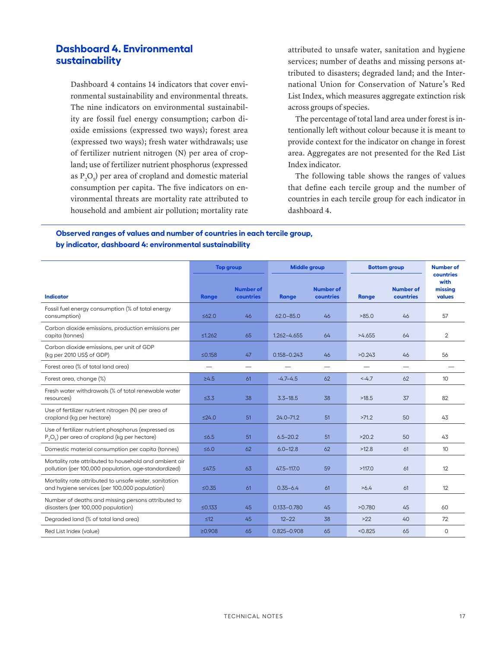# **Dashboard 4. Environmental sustainability**

Dashboard 4 contains 14 indicators that cover environmental sustainability and environmental threats. The nine indicators on environmental sustainability are fossil fuel energy consumption; carbon dioxide emissions (expressed two ways); forest area (expressed two ways); fresh water withdrawals; use of fertilizer nutrient nitrogen (N) per area of cropland; use of fertilizer nutrient phosphorus (expressed as  $P_2O_5$ ) per area of cropland and domestic material consumption per capita. The five indicators on environmental threats are mortality rate attributed to household and ambient air pollution; mortality rate

attributed to unsafe water, sanitation and hygiene services; number of deaths and missing persons attributed to disasters; degraded land; and the International Union for Conservation of Nature's Red List Index, which measures aggregate extinction risk across groups of species.

The percentage of total land area under forest is intentionally left without colour because it is meant to provide context for the indicator on change in forest area. Aggregates are not presented for the Red List Index indicator.

The following table shows the ranges of values that define each tercile group and the number of countries in each tercile group for each indicator in dashboard 4.

## **Observed ranges of values and number of countries in each tercile group, by indicator, dashboard 4: environmental sustainability**

|                                                                                                                | <b>Top group</b> |                               | <b>Middle group</b> |                               | <b>Bottom group</b> |                               | <b>Number of</b>                       |
|----------------------------------------------------------------------------------------------------------------|------------------|-------------------------------|---------------------|-------------------------------|---------------------|-------------------------------|----------------------------------------|
| <b>Indicator</b>                                                                                               | Range            | <b>Number of</b><br>countries | <b>Range</b>        | <b>Number of</b><br>countries | Range               | <b>Number of</b><br>countries | countries<br>with<br>missing<br>values |
| Fossil fuel energy consumption (% of total energy<br>consumption)                                              | 562.0            | 46                            | $62.0 - 85.0$       | 46                            | >85.0               | 46                            | 57                                     |
| Carbon dioxide emissions, production emissions per<br>capita (tonnes)                                          | ≤1.262           | 65                            | 1.262-4.655         | 64                            | >4.655              | 64                            | $\overline{2}$                         |
| Carbon dioxide emissions, per unit of GDP<br>(kg per 2010 US\$ of GDP)                                         | ≤0.158           | 47                            | $0.158 - 0.243$     | 46                            | >0.243              | 46                            | 56                                     |
| Forest area (% of total land area)                                                                             |                  | $\overline{\phantom{0}}$      |                     | $\overline{\phantom{0}}$      |                     | —                             |                                        |
| Forest area, change (%)                                                                                        | $\geq 4.5$       | 61                            | $-4.7-4.5$          | 62                            | $-4.7$              | 62                            | 10                                     |
| Fresh water withdrawals (% of total renewable water<br>resources)                                              | $\leq 3.3$       | 38                            | $3.3 - 18.5$        | 38                            | >18.5               | 37                            | 82                                     |
| Use of fertilizer nutrient nitrogen (N) per area of<br>cropland (kg per hectare)                               | $\leq$ 24.0      | 51                            | $24.0 - 71.2$       | 51                            | >71.2               | 50                            | 43                                     |
| Use of fertilizer nutrient phosphorus (expressed as<br>$P_2O_5$ ) per area of cropland (kg per hectare)        | $\leq 6.5$       | 51                            | $6.5 - 20.2$        | 51                            | >20.2               | 50                            | 43                                     |
| Domestic material consumption per capita (tonnes)                                                              | $\leq 6.0$       | 62                            | $6.0 - 12.8$        | 62                            | >12.8               | 61                            | 10                                     |
| Mortality rate attributed to household and ambient air<br>pollution (per 100,000 population, age-standardized) | 547.5            | 63                            | 47.5-117.0          | 59                            | >117.0              | 61                            | 12                                     |
| Mortality rate attributed to unsafe water, sanitation<br>and hygiene services (per 100,000 population)         | $\leq 0.35$      | 61                            | $0.35 - 6.4$        | 61                            | >6.4                | 61                            | 12                                     |
| Number of deaths and missing persons attributed to<br>disasters (per 100,000 population)                       | ≤0.133           | 45                            | $0.133 - 0.780$     | 45                            | >0.780              | 45                            | 60                                     |
| Degraded land (% of total land area)                                                                           | $\leq 12$        | 45                            | $12 - 22$           | 38                            | $>22$               | 40                            | 72                                     |
| Red List Index (value)                                                                                         | ≥0.908           | 65                            | $0.825 - 0.908$     | 65                            | < 0.825             | 65                            | $\circ$                                |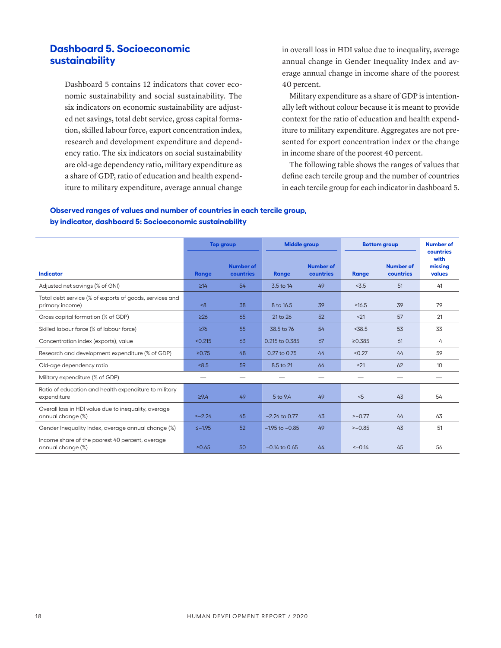# **Dashboard 5. Socioeconomic sustainability**

Dashboard 5 contains 12 indicators that cover economic sustainability and social sustainability. The six indicators on economic sustainability are adjusted net savings, total debt service, gross capital formation, skilled labour force, export concentration index, research and development expenditure and dependency ratio. The six indicators on social sustainability are old-age dependency ratio, military expenditure as a share of GDP, ratio of education and health expenditure to military expenditure, average annual change in overall loss in HDI value due to inequality, average annual change in Gender Inequality Index and average annual change in income share of the poorest 40 percent.

Military expenditure as a share of GDP is intentionally left without colour because it is meant to provide context for the ratio of education and health expenditure to military expenditure. Aggregates are not presented for export concentration index or the change in income share of the poorest 40 percent.

The following table shows the ranges of values that define each tercile group and the number of countries in each tercile group for each indicator in dashboard 5.

## **Observed ranges of values and number of countries in each tercile group, by indicator, dashboard 5: Socioeconomic sustainability**

|                                                                            | <b>Top group</b> |                               | <b>Middle group</b> |                               | <b>Bottom group</b> |                               | <b>Number of</b>                       |
|----------------------------------------------------------------------------|------------------|-------------------------------|---------------------|-------------------------------|---------------------|-------------------------------|----------------------------------------|
| <b>Indicator</b>                                                           | <b>Range</b>     | <b>Number of</b><br>countries | <b>Range</b>        | <b>Number of</b><br>countries | <b>Range</b>        | <b>Number of</b><br>countries | countries<br>with<br>missing<br>values |
| Adjusted net savings (% of GNI)                                            | $\geq 14$        | 54                            | 3.5 to 14           | 49                            | < 3.5               | 51                            | 41                                     |
| Total debt service (% of exports of goods, services and<br>primary income) | 8                | 38                            | 8 to 16.5           | 39                            | $\geq 16.5$         | 39                            | 79                                     |
| Gross capital formation (% of GDP)                                         | $\geq$ 26        | 65                            | 21 to 26            | 52                            | < 21                | 57                            | 21                                     |
| Skilled labour force (% of labour force)                                   | $\geq 76$        | 55                            | 38.5 to 76          | 54                            | < 38.5              | 53                            | 33                                     |
| Concentration index (exports), value                                       | < 0.215          | 63                            | 0.215 to 0.385      | 67                            | $\geq 0.385$        | 61                            | 4                                      |
| Research and development expenditure (% of GDP)                            | $\geq 0.75$      | 48                            | 0.27 to 0.75        | 44                            | < 0.27              | 44                            | 59                                     |
| Old-age dependency ratio                                                   | < 8.5            | 59                            | 8.5 to 21           | 64                            | $\geq$ 21           | 62                            | 10                                     |
| Military expenditure (% of GDP)                                            |                  | —                             |                     |                               |                     |                               |                                        |
| Ratio of education and health expenditure to military<br>expenditure       | $\geq 9.4$       | 49                            | 5 to 9.4            | 49                            | < 5                 | 43                            | 54                                     |
| Overall loss in HDI value due to inequality, average<br>annual change (%)  | $5 - 2.24$       | 45                            | $-2.24$ to 0.77     | 43                            | $>-0.77$            | 44                            | 63                                     |
| Gender Inequality Index, average annual change (%)                         | $5 - 1.95$       | 52                            | $-1.95$ to $-0.85$  | 49                            | $>-0.85$            | 43                            | 51                                     |
| Income share of the poorest 40 percent, average<br>annual change (%)       | $\geq 0.65$      | 50                            | $-0.14$ to 0.65     | 44                            | $<-0.14$            | 45                            | 56                                     |